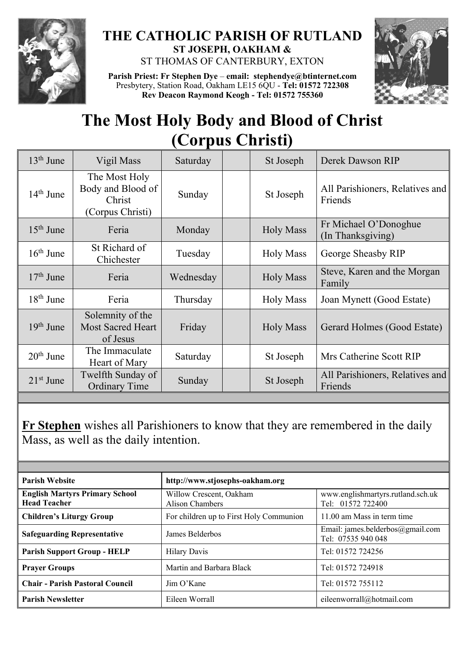

## **THE CATHOLIC PARISH OF RUTLAND ST JOSEPH, OAKHAM &**

ST THOMAS OF CANTERBURY, EXTON



**Parish Priest: Fr Stephen Dye** – **[email: stephendye@btinternet.com](mailto:email:%20%20stephendye@btinternet.com)** Presbytery, Station Road, Oakham LE15 6QU - **Tel: 01572 722308 Rev Deacon Raymond Keogh - Tel: 01572 755360**

## **The Most Holy Body and Blood of Christ (Corpus Christi)**

| $13th$ June | Vigil Mass                                                       | Saturday  | St Joseph        | Derek Dawson RIP                           |
|-------------|------------------------------------------------------------------|-----------|------------------|--------------------------------------------|
| $14th$ June | The Most Holy<br>Body and Blood of<br>Christ<br>(Corpus Christi) | Sunday    | St Joseph        | All Parishioners, Relatives and<br>Friends |
| $15th$ June | Feria                                                            | Monday    | <b>Holy Mass</b> | Fr Michael O'Donoghue<br>(In Thanksgiving) |
| $16th$ June | St Richard of<br>Chichester                                      | Tuesday   | <b>Holy Mass</b> | George Sheasby RIP                         |
| $17th$ June | Feria                                                            | Wednesday | <b>Holy Mass</b> | Steve, Karen and the Morgan<br>Family      |
| $18th$ June | Feria                                                            | Thursday  | <b>Holy Mass</b> | Joan Mynett (Good Estate)                  |
| $19th$ June | Solemnity of the<br><b>Most Sacred Heart</b><br>of Jesus         | Friday    | <b>Holy Mass</b> | Gerard Holmes (Good Estate)                |
| $20th$ June | The Immaculate<br>Heart of Mary                                  | Saturday  | St Joseph        | Mrs Catherine Scott RIP                    |
| $21st$ June | Twelfth Sunday of<br><b>Ordinary Time</b>                        | Sunday    | St Joseph        | All Parishioners, Relatives and<br>Friends |

**Fr Stephen** wishes all Parishioners to know that they are remembered in the daily Mass, as well as the daily intention.

| <b>Parish Website</b>                                        | http://www.stjosephs-oakham.org                   |                                                        |  |
|--------------------------------------------------------------|---------------------------------------------------|--------------------------------------------------------|--|
| <b>English Martyrs Primary School</b><br><b>Head Teacher</b> | Willow Crescent, Oakham<br><b>Alison Chambers</b> | www.englishmartyrs.rutland.sch.uk<br>Tel: 01572 722400 |  |
| <b>Children's Liturgy Group</b>                              | For children up to First Holy Communion           | 11.00 am Mass in term time                             |  |
| <b>Safeguarding Representative</b>                           | James Belderbos                                   | Email: james.belderbos@gmail.com<br>Tel: 07535 940 048 |  |
| <b>Parish Support Group - HELP</b>                           | <b>Hilary Davis</b>                               | Tel: 01572 724256                                      |  |
| <b>Prayer Groups</b>                                         | Martin and Barbara Black                          | Tel: 01572 724918                                      |  |
| <b>Chair - Parish Pastoral Council</b>                       | $\lim$ O'Kane                                     | Tel: 01572 755112                                      |  |
| <b>Parish Newsletter</b>                                     | Eileen Worrall                                    | eileenworrall@hotmail.com                              |  |